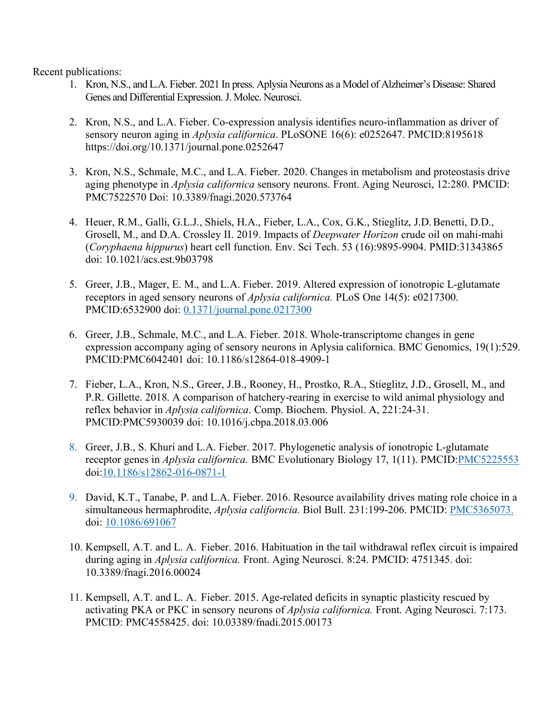Recent publications:

- 1. Kron, N.S., and L.A. Fieber. 2021 In press. Aplysia Neurons as a Model of Alzheimer's Disease: Shared Genes and Differential Expression. J. Molec. Neurosci.
- 2. Kron, N.S., and L.A. Fieber. Co-expression analysis identifies neuro-inflammation as driver of sensory neuron aging in *Aplysia californica*. PLoSONE 16(6): e0252647. PMCID:8195618 https://doi.org/10.1371/journal.pone.0252647
- 3. Kron, N.S., Schmale, M.C., and L.A. Fieber. 2020. Changes in metabolism and proteostasis drive aging phenotype in *Aplysia californica* sensory neurons. Front. Aging Neurosci, 12:280. PMCID: PMC7522570 Doi: 10.3389/fnagi.2020.573764
- 4. Heuer, R.M., Galli, G.L.J., Shiels, H.A., Fieber, L.A., Cox, G.K., Stieglitz, J.D. Benetti, D.D., Grosell, M., and D.A. Crossley II. 2019. Impacts of *Deepwater Horizon* crude oil on mahi-mahi (*Coryphaena hippurus*) heart cell function. Env. Sci Tech. 53 (16):9895-9904. PMID:31343865 doi: 10.1021/acs.est.9b03798
- 5. Greer, J.B., Mager, E. M., and L.A. Fieber. 2019. Altered expression of ionotropic L-glutamate receptors in aged sensory neurons of *Aplysia californica.* PLoS One 14(5): e0217300. PMCID:6532900 doi: 0.1371/journal.pone.0217300
- 6. Greer, J.B., Schmale, M.C., and L.A. Fieber. 2018. Whole-transcriptome changes in gene expression accompany aging of sensory neurons in Aplysia californica. BMC Genomics, 19(1):529. PMCID:PMC6042401 doi: 10.1186/s12864-018-4909-1
- 7. Fieber, L.A., Kron, N.S., Greer, J.B., Rooney, H., Prostko, R.A., Stieglitz, J.D., Grosell, M., and P.R. Gillette. 2018. A comparison of hatchery-rearing in exercise to wild animal physiology and reflex behavior in *Aplysia californica*. Comp. Biochem. Physiol. A, 221:24-31. PMCID:PMC5930039 doi: 10.1016/j.cbpa.2018.03.006
- 8. Greer, J.B., S. Khuri and L.A. Fieber. 2017. Phylogenetic analysis of ionotropic L-glutamate receptor genes in *Aplysia californica.* BMC Evolutionary Biology 17, 1(11). PMCID:PMC5225553 doi:10.1186/s12862-016-0871-1
- 9. David, K.T., Tanabe, P. and L.A. Fieber. 2016. Resource availability drives mating role choice in a simultaneous hermaphrodite, *Aplysia californcia.* Biol Bull. 231:199-206. PMCID: PMC5365073. doi: 10.1086/691067
- 10. Kempsell, A.T. and L. A. Fieber. 2016. Habituation in the tail withdrawal reflex circuit is impaired during aging in *Aplysia californica.* Front. Aging Neurosci. 8:24. PMCID: 4751345. doi: 10.3389/fnagi.2016.00024
- 11. Kempsell, A.T. and L. A. Fieber. 2015. Age-related deficits in synaptic plasticity rescued by activating PKA or PKC in sensory neurons of *Aplysia californica.* Front. Aging Neurosci. 7:173. PMCID: PMC4558425. doi: 10.03389/fnadi.2015.00173